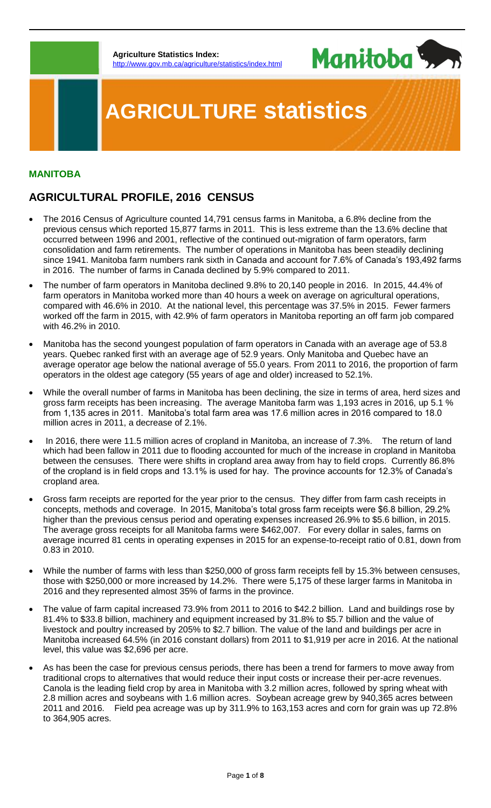**Agriculture Statistics Index:** p://www.gov.mb.ca/agriculture/statistics/index.html



# **AGRICULTURE statistics**

## **MANITOBA**

# **AGRICULTURAL PROFILE, 2016 CENSUS**

- The 2016 Census of Agriculture counted 14,791 census farms in Manitoba, a 6.8% decline from the previous census which reported 15,877 farms in 2011. This is less extreme than the 13.6% decline that occurred between 1996 and 2001, reflective of the continued out-migration of farm operators, farm consolidation and farm retirements. The number of operations in Manitoba has been steadily declining since 1941. Manitoba farm numbers rank sixth in Canada and account for 7.6% of Canada's 193,492 farms in 2016. The number of farms in Canada declined by 5.9% compared to 2011.
- The number of farm operators in Manitoba declined 9.8% to 20,140 people in 2016. In 2015, 44.4% of farm operators in Manitoba worked more than 40 hours a week on average on agricultural operations, compared with 46.6% in 2010. At the national level, this percentage was 37.5% in 2015. Fewer farmers worked off the farm in 2015, with 42.9% of farm operators in Manitoba reporting an off farm job compared with 46.2% in 2010.
- Manitoba has the second youngest population of farm operators in Canada with an average age of 53.8 years. Quebec ranked first with an average age of 52.9 years. Only Manitoba and Quebec have an average operator age below the national average of 55.0 years. From 2011 to 2016, the proportion of farm operators in the oldest age category (55 years of age and older) increased to 52.1%.
- While the overall number of farms in Manitoba has been declining, the size in terms of area, herd sizes and gross farm receipts has been increasing. The average Manitoba farm was 1,193 acres in 2016, up 5.1 % from 1,135 acres in 2011. Manitoba's total farm area was 17.6 million acres in 2016 compared to 18.0 million acres in 2011, a decrease of 2.1%.
- In 2016, there were 11.5 million acres of cropland in Manitoba, an increase of 7.3%. The return of land which had been fallow in 2011 due to flooding accounted for much of the increase in cropland in Manitoba between the censuses. There were shifts in cropland area away from hay to field crops. Currently 86.8% of the cropland is in field crops and 13.1% is used for hay. The province accounts for 12.3% of Canada's cropland area.
- Gross farm receipts are reported for the year prior to the census. They differ from farm cash receipts in concepts, methods and coverage. In 2015, Manitoba's total gross farm receipts were \$6.8 billion, 29.2% higher than the previous census period and operating expenses increased 26.9% to \$5.6 billion, in 2015. The average gross receipts for all Manitoba farms were \$462,007. For every dollar in sales, farms on average incurred 81 cents in operating expenses in 2015 for an expense-to-receipt ratio of 0.81, down from 0.83 in 2010.
- While the number of farms with less than \$250,000 of gross farm receipts fell by 15.3% between censuses, those with \$250,000 or more increased by 14.2%. There were 5,175 of these larger farms in Manitoba in 2016 and they represented almost 35% of farms in the province.
- The value of farm capital increased 73.9% from 2011 to 2016 to \$42.2 billion. Land and buildings rose by 81.4% to \$33.8 billion, machinery and equipment increased by 31.8% to \$5.7 billion and the value of livestock and poultry increased by 205% to \$2.7 billion. The value of the land and buildings per acre in Manitoba increased 64.5% (in 2016 constant dollars) from 2011 to \$1,919 per acre in 2016. At the national level, this value was \$2,696 per acre.
- As has been the case for previous census periods, there has been a trend for farmers to move away from traditional crops to alternatives that would reduce their input costs or increase their per-acre revenues. Canola is the leading field crop by area in Manitoba with 3.2 million acres, followed by spring wheat with 2.8 million acres and soybeans with 1.6 million acres. Soybean acreage grew by 940,365 acres between 2011 and 2016. Field pea acreage was up by 311.9% to 163,153 acres and corn for grain was up 72.8% to 364,905 acres.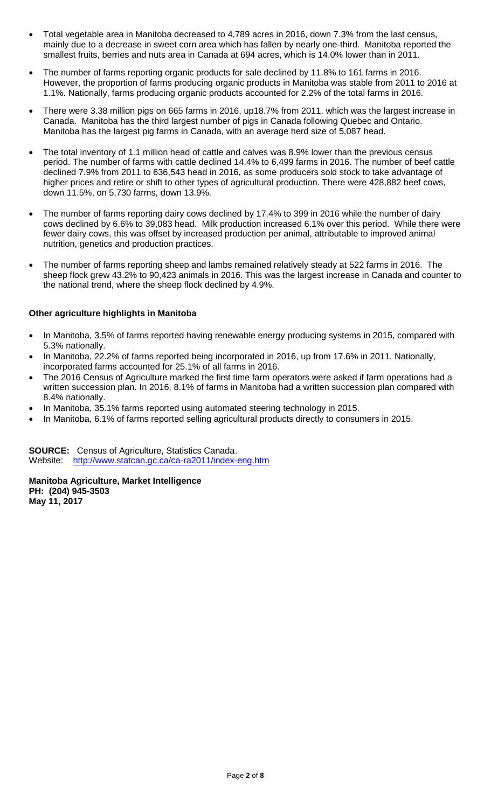- Total vegetable area in Manitoba decreased to 4,789 acres in 2016, down 7.3% from the last census, mainly due to a decrease in sweet corn area which has fallen by nearly one-third. Manitoba reported the smallest fruits, berries and nuts area in Canada at 694 acres, which is 14.0% lower than in 2011.
- The number of farms reporting organic products for sale declined by 11.8% to 161 farms in 2016. However, the proportion of farms producing organic products in Manitoba was stable from 2011 to 2016 at 1.1%. Nationally, farms producing organic products accounted for 2.2% of the total farms in 2016.
- There were 3.38 million pigs on 665 farms in 2016, up18.7% from 2011, which was the largest increase in Canada. Manitoba has the third largest number of pigs in Canada following Quebec and Ontario. Manitoba has the largest pig farms in Canada, with an average herd size of 5,087 head.
- The total inventory of 1.1 million head of cattle and calves was 8.9% lower than the previous census period. The number of farms with cattle declined 14.4% to 6,499 farms in 2016. The number of beef cattle declined 7.9% from 2011 to 636,543 head in 2016, as some producers sold stock to take advantage of higher prices and retire or shift to other types of agricultural production. There were 428,882 beef cows, down 11.5%, on 5,730 farms, down 13.9%.
- The number of farms reporting dairy cows declined by 17.4% to 399 in 2016 while the number of dairy cows declined by 6.6% to 39,083 head. Milk production increased 6.1% over this period. While there were fewer dairy cows, this was offset by increased production per animal, attributable to improved animal nutrition, genetics and production practices.
- The number of farms reporting sheep and lambs remained relatively steady at 522 farms in 2016. The sheep flock grew 43.2% to 90,423 animals in 2016. This was the largest increase in Canada and counter to the national trend, where the sheep flock declined by 4.9%.

### **Other agriculture highlights in Manitoba**

- In Manitoba, 3.5% of farms reported having renewable energy producing systems in 2015, compared with 5.3% nationally.
- In Manitoba, 22.2% of farms reported being incorporated in 2016, up from 17.6% in 2011. Nationally, incorporated farms accounted for 25.1% of all farms in 2016.
- The 2016 Census of Agriculture marked the first time farm operators were asked if farm operations had a written succession plan. In 2016, 8.1% of farms in Manitoba had a written succession plan compared with 8.4% nationally.
- In Manitoba, 35.1% farms reported using automated steering technology in 2015.
- In Manitoba, 6.1% of farms reported selling agricultural products directly to consumers in 2015.

**SOURCE:** Census of Agriculture, Statistics Canada. Website: <http://www.statcan.gc.ca/ca-ra2011/index-eng.htm>

**Manitoba Agriculture, Market Intelligence PH: (204) 945-3503 May 11, 2017**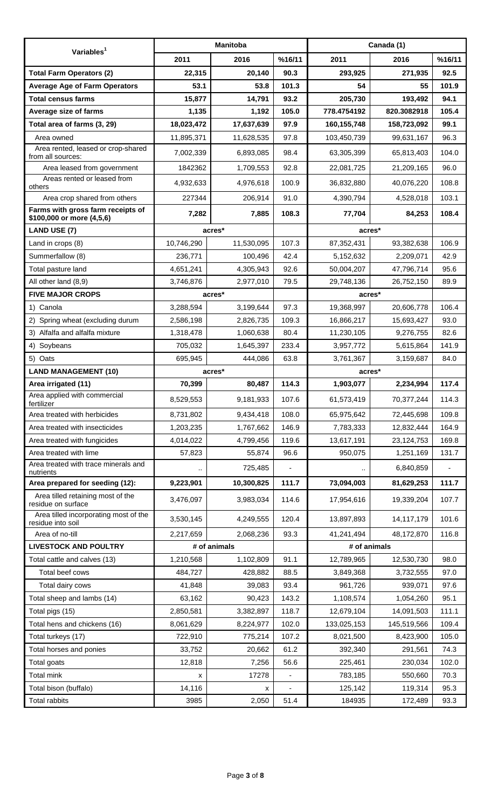| Variables <sup>1</sup>                                         | <b>Manitoba</b>              |            |                | Canada (1)    |             |        |
|----------------------------------------------------------------|------------------------------|------------|----------------|---------------|-------------|--------|
|                                                                | 2011                         | 2016       | %16/11         | 2011          | 2016        | %16/11 |
| <b>Total Farm Operators (2)</b>                                | 22,315                       | 20,140     | 90.3           | 293,925       | 271,935     | 92.5   |
| <b>Average Age of Farm Operators</b>                           | 53.1                         | 53.8       | 101.3          | 54            | 55          | 101.9  |
| <b>Total census farms</b>                                      | 15,877                       | 14,791     | 93.2           | 205,730       | 193,492     | 94.1   |
| Average size of farms                                          | 1,135                        | 1,192      | 105.0          | 778.4754192   | 820.3082918 | 105.4  |
| Total area of farms (3, 29)                                    | 18,023,472                   | 17,637,639 | 97.9           | 160, 155, 748 | 158,723,092 | 99.1   |
| Area owned                                                     | 11,895,371                   | 11,628,535 | 97.8           | 103,450,739   | 99,631,167  | 96.3   |
| Area rented, leased or crop-shared<br>from all sources:        | 7,002,339                    | 6,893,085  | 98.4           | 63,305,399    | 65,813,403  | 104.0  |
| Area leased from government                                    | 1842362                      | 1,709,553  | 92.8           | 22,081,725    | 21,209,165  | 96.0   |
| Areas rented or leased from<br>others                          | 4,932,633                    | 4,976,618  | 100.9          | 36,832,880    | 40,076,220  | 108.8  |
| Area crop shared from others                                   | 227344                       | 206,914    | 91.0           | 4,390,794     | 4,528,018   | 103.1  |
| Farms with gross farm receipts of<br>\$100,000 or more (4,5,6) | 7,282                        | 7,885      | 108.3          | 77,704        | 84,253      | 108.4  |
| <b>LAND USE (7)</b>                                            |                              | acres*     |                | acres*        |             |        |
| Land in crops (8)                                              | 10,746,290                   | 11,530,095 | 107.3          | 87,352,431    | 93,382,638  | 106.9  |
| Summerfallow (8)                                               | 236,771                      | 100,496    | 42.4           | 5,152,632     | 2,209,071   | 42.9   |
| Total pasture land                                             | 4,651,241                    | 4,305,943  | 92.6           | 50,004,207    | 47,796,714  | 95.6   |
| All other land (8,9)                                           | 3,746,876                    | 2,977,010  | 79.5           | 29,748,136    | 26,752,150  | 89.9   |
| <b>FIVE MAJOR CROPS</b>                                        |                              | acres*     |                |               | acres*      |        |
| 1) Canola                                                      | 3,288,594                    | 3,199,644  | 97.3           | 19,368,997    | 20,606,778  | 106.4  |
| 2) Spring wheat (excluding durum                               | 2,586,198                    | 2,826,735  | 109.3          | 16,866,217    | 15,693,427  | 93.0   |
| 3) Alfalfa and alfalfa mixture                                 | 1,318,478                    | 1,060,638  | 80.4           | 11,230,105    | 9,276,755   | 82.6   |
| 4)<br>Soybeans                                                 | 705,032                      | 1,645,397  | 233.4          | 3,957,772     | 5,615,864   | 141.9  |
| 5) Oats                                                        | 695,945                      | 444,086    | 63.8           | 3,761,367     | 3,159,687   | 84.0   |
| <b>LAND MANAGEMENT (10)</b>                                    |                              | acres*     |                | acres*        |             |        |
| Area irrigated (11)                                            | 70,399                       | 80,487     | 114.3          | 1,903,077     | 2,234,994   | 117.4  |
| Area applied with commercial<br>fertilizer                     | 8,529,553                    | 9,181,933  | 107.6          | 61,573,419    | 70,377,244  | 114.3  |
| Area treated with herbicides                                   | 8,731,802                    | 9,434,418  | 108.0          | 65,975,642    | 72,445,698  | 109.8  |
| Area treated with insecticides                                 | 1,203,235                    | 1,767,662  | 146.9          | 7,783,333     | 12,832,444  | 164.9  |
| Area treated with fungicides                                   | 4,014,022                    | 4,799,456  | 119.6          | 13,617,191    | 23,124,753  | 169.8  |
| Area treated with lime                                         | 57,823                       | 55,874     | 96.6           | 950,075       | 1,251,169   | 131.7  |
| Area treated with trace minerals and<br>nutrients              | 725,485                      |            | 6,840,859      |               |             |        |
| Area prepared for seeding (12):                                | 9,223,901                    | 10,300,825 | 111.7          | 73,094,003    | 81,629,253  | 111.7  |
| Area tilled retaining most of the<br>residue on surface        | 3,476,097                    | 3,983,034  | 114.6          | 17,954,616    | 19,339,204  | 107.7  |
| Area tilled incorporating most of the<br>residue into soil     | 3,530,145                    | 4,249,555  | 120.4          | 13,897,893    | 14,117,179  | 101.6  |
| Area of no-till                                                | 2,217,659                    | 2,068,236  | 93.3           | 41,241,494    | 48,172,870  | 116.8  |
| <b>LIVESTOCK AND POULTRY</b>                                   | # of animals<br># of animals |            |                |               |             |        |
| Total cattle and calves (13)                                   | 1,210,568                    | 1,102,809  | 91.1           | 12,789,965    | 12,530,730  | 98.0   |
| Total beef cows                                                | 484,727                      | 428,882    | 88.5           | 3,849,368     | 3,732,555   | 97.0   |
| Total dairy cows                                               | 41,848                       | 39,083     | 93.4           | 961,726       | 939,071     | 97.6   |
| Total sheep and lambs (14)                                     | 63,162                       | 90,423     | 143.2          | 1,108,574     | 1,054,260   | 95.1   |
| Total pigs (15)                                                | 2,850,581                    | 3,382,897  | 118.7          | 12,679,104    | 14,091,503  | 111.1  |
| Total hens and chickens (16)                                   | 8,061,629                    | 8,224,977  | 102.0          | 133,025,153   | 145,519,566 | 109.4  |
| Total turkeys (17)                                             | 722,910                      | 775,214    | 107.2          | 8,021,500     | 8,423,900   | 105.0  |
| Total horses and ponies                                        | 33,752                       | 20,662     | 61.2           | 392,340       | 291,561     | 74.3   |
| Total goats                                                    | 12,818                       | 7,256      | 56.6           | 225,461       | 230,034     | 102.0  |
| Total mink                                                     | x                            | 17278      | $\blacksquare$ | 783,185       | 550,660     | 70.3   |
| Total bison (buffalo)                                          | 14,116                       | х          |                | 125,142       | 119,314     | 95.3   |
| <b>Total rabbits</b>                                           | 3985                         | 2,050      | 51.4           | 184935        | 172,489     | 93.3   |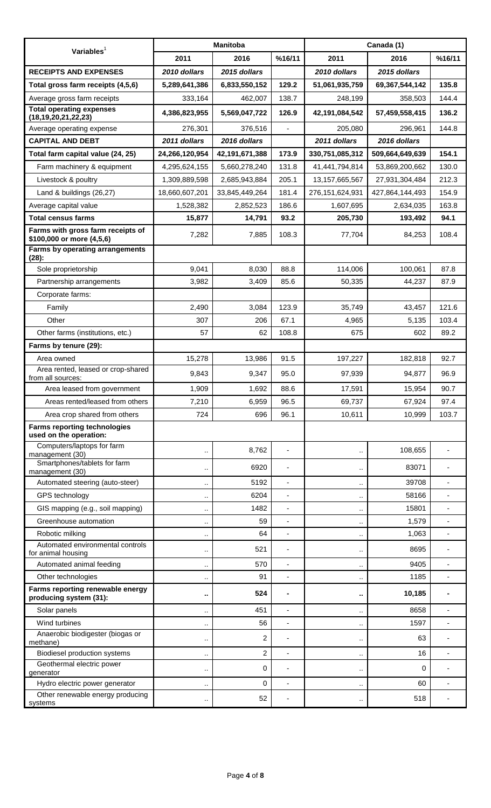| Variables $1$                                                  | <b>Manitoba</b>      |                |                          | Canada (1)           |                 |        |
|----------------------------------------------------------------|----------------------|----------------|--------------------------|----------------------|-----------------|--------|
|                                                                | 2011                 | 2016           | %16/11                   | 2011                 | 2016            | %16/11 |
| <b>RECEIPTS AND EXPENSES</b>                                   | 2010 dollars         | 2015 dollars   |                          | 2010 dollars         | 2015 dollars    |        |
| Total gross farm receipts (4,5,6)                              | 5,289,641,386        | 6,833,550,152  | 129.2                    | 51,061,935,759       | 69,367,544,142  | 135.8  |
| Average gross farm receipts                                    | 333,164              | 462,007        | 138.7                    | 248,199              | 358,503         | 144.4  |
| <b>Total operating expenses</b><br>(18, 19, 20, 21, 22, 23)    | 4,386,823,955        | 5,569,047,722  | 126.9                    | 42,191,084,542       | 57,459,558,415  | 136.2  |
| Average operating expense                                      | 276,301              | 376,516        |                          | 205,080              | 296,961         | 144.8  |
| <b>CAPITAL AND DEBT</b>                                        | 2011 dollars         | 2016 dollars   |                          | 2011 dollars         | 2016 dollars    |        |
| Total farm capital value (24, 25)                              | 24,266,120,954       | 42,191,671,388 | 173.9                    | 330,751,085,312      | 509,664,649,639 | 154.1  |
| Farm machinery & equipment                                     | 4,295,624,155        | 5,660,278,240  | 131.8                    | 41,441,794,814       | 53,869,200,662  | 130.0  |
| Livestock & poultry                                            | 1,309,889,598        | 2,685,943,884  | 205.1                    | 13, 157, 665, 567    | 27,931,304,484  | 212.3  |
| Land & buildings (26,27)                                       | 18,660,607,201       | 33,845,449,264 | 181.4                    | 276,151,624,931      | 427,864,144,493 | 154.9  |
| Average capital value                                          | 1,528,382            | 2,852,523      | 186.6                    | 1,607,695            | 2,634,035       | 163.8  |
| <b>Total census farms</b>                                      | 15,877               | 14,791         | 93.2                     | 205,730              | 193,492         | 94.1   |
| Farms with gross farm receipts of<br>\$100,000 or more (4,5,6) | 7,282                | 7,885          | 108.3                    | 77,704               | 84,253          | 108.4  |
| Farms by operating arrangements<br>$(28)$ :                    |                      |                |                          |                      |                 |        |
| Sole proprietorship                                            | 9,041                | 8,030          | 88.8                     | 114,006              | 100,061         | 87.8   |
| Partnership arrangements                                       | 3,982                | 3,409          | 85.6                     | 50,335               | 44,237          | 87.9   |
| Corporate farms:                                               |                      |                |                          |                      |                 |        |
| Family                                                         | 2,490                | 3,084          | 123.9                    | 35,749               | 43,457          | 121.6  |
| Other                                                          | 307                  | 206            | 67.1                     | 4,965                | 5,135           | 103.4  |
| Other farms (institutions, etc.)                               | 57                   | 62             | 108.8                    | 675                  | 602             | 89.2   |
| Farms by tenure (29):                                          |                      |                |                          |                      |                 |        |
| Area owned                                                     | 15,278               | 13,986         | 91.5                     | 197,227              | 182,818         | 92.7   |
| Area rented, leased or crop-shared<br>from all sources:        | 9,843                | 9,347          | 95.0                     | 97,939               | 94,877          | 96.9   |
| Area leased from government                                    | 1,909                | 1,692          | 88.6                     | 17,591               | 15,954          | 90.7   |
| Areas rented/leased from others                                | 7,210                | 6,959          | 96.5                     | 69,737               | 67,924          | 97.4   |
| Area crop shared from others                                   | 724                  | 696            | 96.1                     | 10,611               | 10,999          | 103.7  |
| <b>Farms reporting technologies</b><br>used on the operation:  |                      |                |                          |                      |                 |        |
| Computers/laptops for farm<br>management (30)                  | $\cdot$ .            | 8,762          | $\overline{\phantom{a}}$ |                      | 108,655         |        |
| Smartphones/tablets for farm<br>management (30)                | $\cdot$ .            | 6920           | ÷                        |                      | 83071           |        |
| Automated steering (auto-steer)                                | $\cdot$ .            | 5192           | $\overline{\phantom{a}}$ | $\ddot{\phantom{0}}$ | 39708           |        |
| GPS technology                                                 | $\cdot$ .            | 6204           | $\overline{\phantom{a}}$ | .,                   | 58166           |        |
| GIS mapping (e.g., soil mapping)                               | $\cdot$ .            | 1482           | ÷,                       |                      | 15801           |        |
| Greenhouse automation                                          | $\cdot$ .            | 59             | ä,                       | $\ddot{\phantom{0}}$ | 1,579           |        |
| Robotic milking                                                | $\cdot$ .            | 64             | $\overline{\phantom{a}}$ | .,                   | 1,063           |        |
| Automated environmental controls<br>for animal housing         | $\cdot$ .            | 521            | ٠                        |                      | 8695            |        |
| Automated animal feeding                                       | $\cdot$ .            | 570            | ÷                        |                      | 9405            |        |
| Other technologies                                             | $\ddot{\phantom{a}}$ | 91             | ä,                       |                      | 1185            |        |
| Farms reporting renewable energy<br>producing system (31):     | $\sim$               | 524            | ۰                        | ٠.                   | 10,185          |        |
| Solar panels                                                   | $\cdot$ .            | 451            | ä,                       | .,                   | 8658            |        |
| Wind turbines                                                  | $\cdot$ .            | 56             | $\overline{\phantom{a}}$ |                      | 1597            |        |
| Anaerobic biodigester (biogas or<br>methane)                   | $\cdot$ .            | $\overline{c}$ | ٠                        |                      | 63              |        |
| Biodiesel production systems                                   | $\cdot$ .            | $\overline{c}$ | ٠                        | $\ddot{\phantom{0}}$ | 16              |        |
| Geothermal electric power<br>generator                         | $\cdot$ .            | 0              | $\overline{a}$           |                      | 0               |        |
| Hydro electric power generator                                 | $\cdot$ .            | 0              | ÷,                       | .,                   | 60              |        |
| Other renewable energy producing<br>systems                    | $\cdot$ .            | 52             |                          |                      | 518             |        |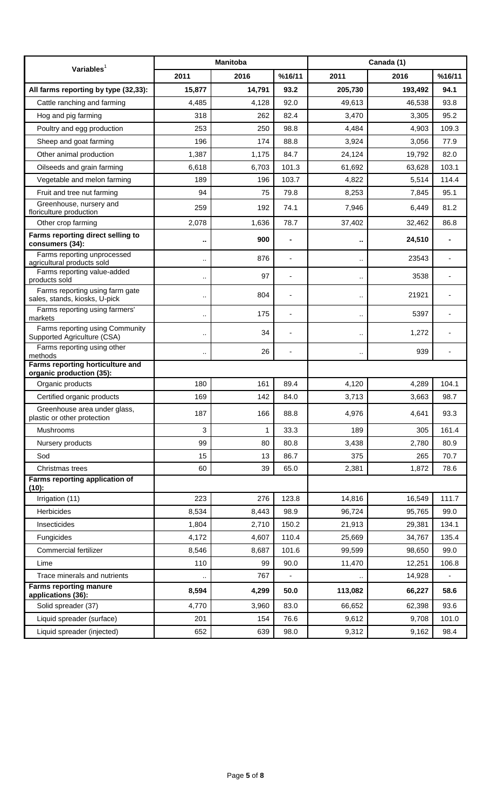| Variables $1$                                                    | <b>Manitoba</b>      |        |        | Canada (1)           |         |        |
|------------------------------------------------------------------|----------------------|--------|--------|----------------------|---------|--------|
|                                                                  | 2011                 | 2016   | %16/11 | 2011                 | 2016    | %16/11 |
| All farms reporting by type (32,33):                             | 15,877               | 14,791 | 93.2   | 205,730              | 193,492 | 94.1   |
| Cattle ranching and farming                                      | 4,485                | 4,128  | 92.0   | 49,613               | 46,538  | 93.8   |
| Hog and pig farming                                              | 318                  | 262    | 82.4   | 3,470                | 3,305   | 95.2   |
| Poultry and egg production                                       | 253                  | 250    | 98.8   | 4,484                | 4,903   | 109.3  |
| Sheep and goat farming                                           | 196                  | 174    | 88.8   | 3,924                | 3,056   | 77.9   |
| Other animal production                                          | 1,387                | 1,175  | 84.7   | 24,124               | 19,792  | 82.0   |
| Oilseeds and grain farming                                       | 6,618                | 6,703  | 101.3  | 61,692               | 63,628  | 103.1  |
| Vegetable and melon farming                                      | 189                  | 196    | 103.7  | 4,822                | 5,514   | 114.4  |
| Fruit and tree nut farming                                       | 94                   | 75     | 79.8   | 8,253                | 7,845   | 95.1   |
| Greenhouse, nursery and<br>floriculture production               | 259                  | 192    | 74.1   | 7,946                | 6,449   | 81.2   |
| Other crop farming                                               | 2,078                | 1,636  | 78.7   | 37,402               | 32,462  | 86.8   |
| Farms reporting direct selling to<br>consumers (34):             |                      | 900    |        | ٠.                   | 24,510  |        |
| Farms reporting unprocessed<br>agricultural products sold        | $\ddot{\phantom{0}}$ | 876    |        | ٠.                   | 23543   |        |
| Farms reporting value-added<br>products sold                     | $\ddot{\phantom{0}}$ | 97     |        | $\ddotsc$            | 3538    |        |
| Farms reporting using farm gate<br>sales, stands, kiosks, U-pick |                      | 804    |        | $\ddot{\phantom{0}}$ | 21921   |        |
| Farms reporting using farmers'<br>markets                        | $\ddot{\phantom{0}}$ | 175    |        | ٠.                   | 5397    |        |
| Farms reporting using Community<br>Supported Agriculture (CSA)   | $\ddot{\phantom{0}}$ | 34     |        |                      | 1,272   |        |
| Farms reporting using other<br>methods                           |                      | 26     |        | $\ddot{\phantom{0}}$ | 939     |        |
| Farms reporting horticulture and<br>organic production (35):     |                      |        |        |                      |         |        |
| Organic products                                                 | 180                  | 161    | 89.4   | 4,120                | 4,289   | 104.1  |
| Certified organic products                                       | 169                  | 142    | 84.0   | 3,713                | 3,663   | 98.7   |
| Greenhouse area under glass,<br>plastic or other protection      | 187                  | 166    | 88.8   | 4,976                | 4,641   | 93.3   |
| Mushrooms                                                        | 3                    | 1      | 33.3   | 189                  | 305     | 161.4  |
| Nursery products                                                 | 99                   | 80     | 80.8   | 3,438                | 2,780   | 80.9   |
| Sod                                                              | 15                   | 13     | 86.7   | 375                  | 265     | 70.7   |
| Christmas trees                                                  | 60                   | 39     | 65.0   | 2,381                | 1,872   | 78.6   |
| Farms reporting application of<br>(10):                          |                      |        |        |                      |         |        |
| Irrigation (11)                                                  | 223                  | 276    | 123.8  | 14,816               | 16,549  | 111.7  |
| Herbicides                                                       | 8,534                | 8,443  | 98.9   | 96,724               | 95,765  | 99.0   |
| Insecticides                                                     | 1,804                | 2,710  | 150.2  | 21,913               | 29,381  | 134.1  |
| Fungicides                                                       | 4,172                | 4,607  | 110.4  | 25,669               | 34,767  | 135.4  |
| Commercial fertilizer                                            | 8,546                | 8,687  | 101.6  | 99,599               | 98,650  | 99.0   |
| Lime                                                             | 110                  | 99     | 90.0   | 11,470               | 12,251  | 106.8  |
| Trace minerals and nutrients                                     |                      | 767    |        |                      | 14,928  |        |
| <b>Farms reporting manure</b><br>applications (36):              | 8,594                | 4,299  | 50.0   | 113,082              | 66,227  | 58.6   |
| Solid spreader (37)                                              | 4,770                | 3,960  | 83.0   | 66,652               | 62,398  | 93.6   |
| Liquid spreader (surface)                                        | 201                  | 154    | 76.6   | 9,612                | 9,708   | 101.0  |
| Liquid spreader (injected)                                       | 652                  | 639    | 98.0   | 9,312                | 9,162   | 98.4   |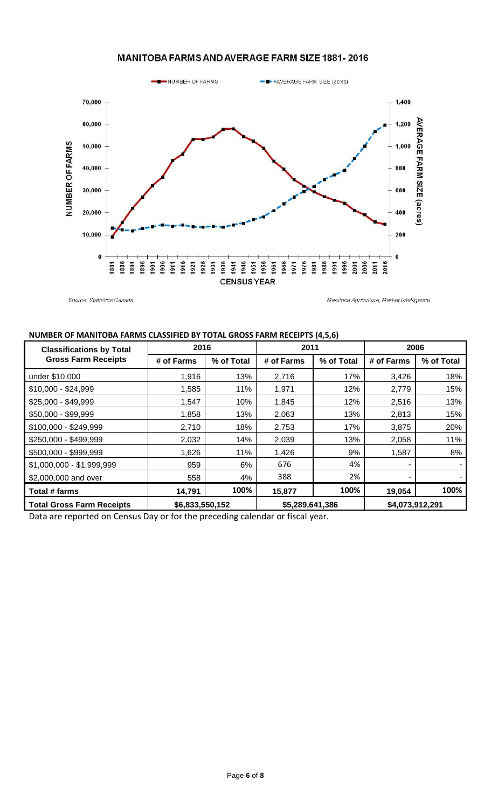### MANITOBA FARMS AND AVERAGE FARM SIZE 1881-2016



Source: Statistics Canada

Manitoba Agriculture, Market Intelligence

#### **NUMBER OF MANITOBA FARMS CLASSIFIED BY TOTAL GROSS FARM RECEIPTS (4,5,6)**

| <b>Classifications by Total</b>  | 2016            |            | 2011            |            | 2006                     |            |
|----------------------------------|-----------------|------------|-----------------|------------|--------------------------|------------|
| <b>Gross Farm Receipts</b>       | # of Farms      | % of Total | # of Farms      | % of Total | # of Farms               | % of Total |
| under \$10,000                   | 1,916           | 13%        | 2.716           | 17%        | 3,426                    | 18%        |
| $$10,000 - $24,999$              | 1,585           | 11%        | 1,971           | 12%        | 2,779                    | 15%        |
| \$25,000 - \$49,999              | 1,547           | 10%        | 1,845           | 12%        | 2,516                    | 13%        |
| \$50,000 - \$99,999              | 1,858           | 13%        | 2,063           | 13%        | 2,813                    | 15%        |
| \$100,000 - \$249,999            | 2,710           | 18%        | 2,753           | 17%        | 3,875                    | 20%        |
| \$250,000 - \$499,999            | 2,032           | 14%        | 2,039           | 13%        | 2,058                    | 11%        |
| \$500,000 - \$999,999            | 1,626           | 11%        | 1,426           | 9%         | 1,587                    | 8%         |
| \$1,000,000 - \$1,999,999        | 959             | 6%         | 676             | 4%         | $\overline{\phantom{a}}$ |            |
| \$2,000,000 and over             | 558             | 4%         | 388             | 2%         |                          |            |
| Total # farms                    | 14,791          | 100%       | 15,877          | 100%       | 19,054                   | 100%       |
| <b>Total Gross Farm Receipts</b> | \$6,833,550,152 |            | \$5,289,641,386 |            | \$4,073,912,291          |            |

Data are reported on Census Day or for the preceding calendar or fiscal year.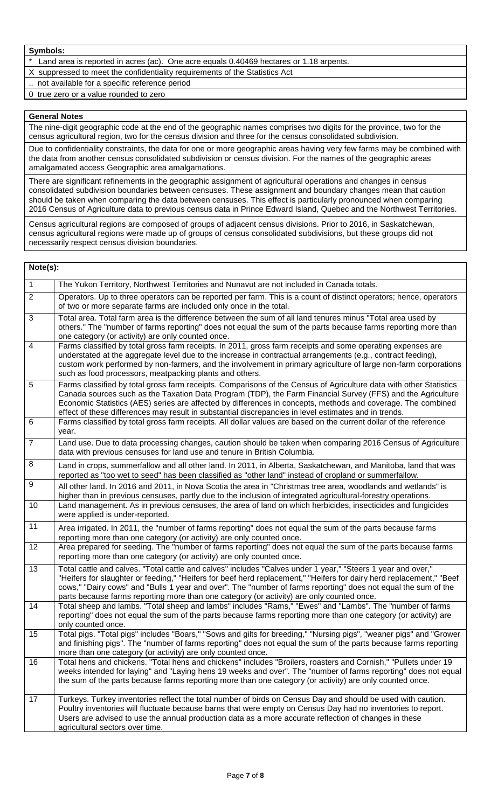- Land area is reported in acres (ac). One acre equals 0.40469 hectares or 1.18 arpents.
- X suppressed to meet the confidentiality requirements of the Statistics Act
- not available for a specific reference period
- 0 true zero or a value rounded to zero

#### **General Notes**

The nine-digit geographic code at the end of the geographic names comprises two digits for the province, two for the census agricultural region, two for the census division and three for the census consolidated subdivision.

Due to confidentiality constraints, the data for one or more geographic areas having very few farms may be combined with the data from another census consolidated subdivision or census division. For the names of the geographic areas amalgamated access Geographic area amalgamations.

There are significant refinements in the geographic assignment of agricultural operations and changes in census consolidated subdivision boundaries between censuses. These assignment and boundary changes mean that caution should be taken when comparing the data between censuses. This effect is particularly pronounced when comparing 2016 Census of Agriculture data to previous census data in Prince Edward Island, Quebec and the Northwest Territories.

Census agricultural regions are composed of groups of adjacent census divisions. Prior to 2016, in Saskatchewan, census agricultural regions were made up of groups of census consolidated subdivisions, but these groups did not necessarily respect census division boundaries.

| Note(s):         |                                                                                                                                                                                                                                                                                                                                                                                                                                                            |
|------------------|------------------------------------------------------------------------------------------------------------------------------------------------------------------------------------------------------------------------------------------------------------------------------------------------------------------------------------------------------------------------------------------------------------------------------------------------------------|
| $\mathbf{1}$     | The Yukon Territory, Northwest Territories and Nunavut are not included in Canada totals.                                                                                                                                                                                                                                                                                                                                                                  |
| $\overline{2}$   | Operators. Up to three operators can be reported per farm. This is a count of distinct operators; hence, operators<br>of two or more separate farms are included only once in the total.                                                                                                                                                                                                                                                                   |
| $\mathbf{3}$     | Total area. Total farm area is the difference between the sum of all land tenures minus "Total area used by<br>others." The "number of farms reporting" does not equal the sum of the parts because farms reporting more than<br>one category (or activity) are only counted once.                                                                                                                                                                         |
| $\overline{4}$   | Farms classified by total gross farm receipts. In 2011, gross farm receipts and some operating expenses are<br>understated at the aggregate level due to the increase in contractual arrangements (e.g., contract feeding),<br>custom work performed by non-farmers, and the involvement in primary agriculture of large non-farm corporations<br>such as food processors, meatpacking plants and others.                                                  |
| $\overline{5}$   | Farms classified by total gross farm receipts. Comparisons of the Census of Agriculture data with other Statistics<br>Canada sources such as the Taxation Data Program (TDP), the Farm Financial Survey (FFS) and the Agriculture<br>Economic Statistics (AES) series are affected by differences in concepts, methods and coverage. The combined<br>effect of these differences may result in substantial discrepancies in level estimates and in trends. |
| $\,6$            | Farms classified by total gross farm receipts. All dollar values are based on the current dollar of the reference<br>year.                                                                                                                                                                                                                                                                                                                                 |
| $\overline{7}$   | Land use. Due to data processing changes, caution should be taken when comparing 2016 Census of Agriculture<br>data with previous censuses for land use and tenure in British Columbia.                                                                                                                                                                                                                                                                    |
| 8                | Land in crops, summerfallow and all other land. In 2011, in Alberta, Saskatchewan, and Manitoba, land that was<br>reported as "too wet to seed" has been classified as "other land" instead of cropland or summerfallow.                                                                                                                                                                                                                                   |
| $\boldsymbol{9}$ | All other land. In 2016 and 2011, in Nova Scotia the area in "Christmas tree area, woodlands and wetlands" is<br>higher than in previous censuses, partly due to the inclusion of integrated agricultural-forestry operations.                                                                                                                                                                                                                             |
| 10               | Land management. As in previous censuses, the area of land on which herbicides, insecticides and fungicides<br>were applied is under-reported.                                                                                                                                                                                                                                                                                                             |
| 11               | Area irrigated. In 2011, the "number of farms reporting" does not equal the sum of the parts because farms<br>reporting more than one category (or activity) are only counted once.                                                                                                                                                                                                                                                                        |
| 12               | Area prepared for seeding. The "number of farms reporting" does not equal the sum of the parts because farms<br>reporting more than one category (or activity) are only counted once.                                                                                                                                                                                                                                                                      |
| 13               | Total cattle and calves. "Total cattle and calves" includes "Calves under 1 year," "Steers 1 year and over,"<br>"Heifers for slaughter or feeding," "Heifers for beef herd replacement," "Heifers for dairy herd replacement," "Beef<br>cows," "Dairy cows" and "Bulls 1 year and over". The "number of farms reporting" does not equal the sum of the<br>parts because farms reporting more than one category (or activity) are only counted once.        |
| 14               | Total sheep and lambs. "Total sheep and lambs" includes "Rams," "Ewes" and "Lambs". The "number of farms<br>reporting" does not equal the sum of the parts because farms reporting more than one category (or activity) are<br>only counted once.                                                                                                                                                                                                          |
| 15               | Total pigs. "Total pigs" includes "Boars," "Sows and gilts for breeding," "Nursing pigs", "weaner pigs" and "Grower<br>and finishing pigs". The "number of farms reporting" does not equal the sum of the parts because farms reporting<br>more than one category (or activity) are only counted once.                                                                                                                                                     |
| 16               | Total hens and chickens. "Total hens and chickens" includes "Broilers, roasters and Cornish," "Pullets under 19<br>weeks intended for laying" and "Laying hens 19 weeks and over". The "number of farms reporting" does not equal<br>the sum of the parts because farms reporting more than one category (or activity) are only counted once.                                                                                                              |
| 17               | Turkeys. Turkey inventories reflect the total number of birds on Census Day and should be used with caution.<br>Poultry inventories will fluctuate because barns that were empty on Census Day had no inventories to report.<br>Users are advised to use the annual production data as a more accurate reflection of changes in these<br>agricultural sectors over time.                                                                                   |